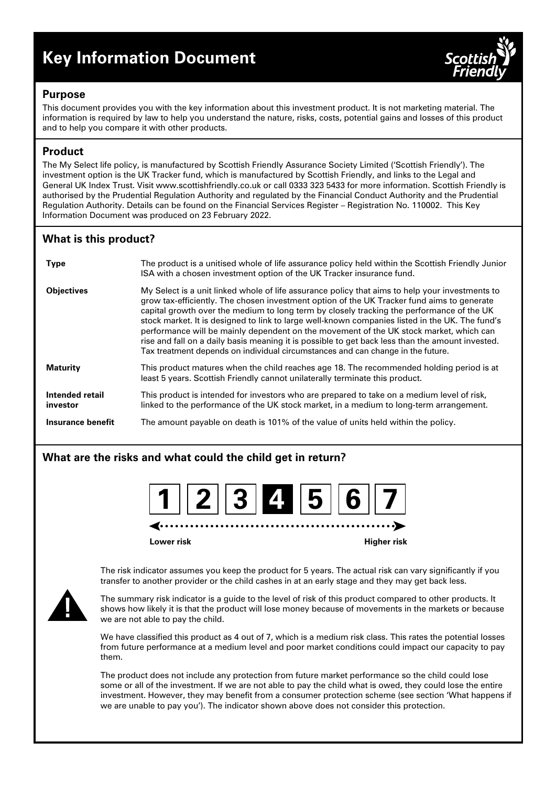# **Key Information Document**



## **Purpose**

This document provides you with the key information about this investment product. It is not marketing material. The information is required by law to help you understand the nature, risks, costs, potential gains and losses of this product and to help you compare it with other products.

# **Product**

The My Select life policy, is manufactured by Scottish Friendly Assurance Society Limited ('Scottish Friendly'). The investment option is the UK Tracker fund, which is manufactured by Scottish Friendly, and links to the Legal and General UK Index Trust. Visit www.scottishfriendly.co.uk or call 0333 323 5433 for more information. Scottish Friendly is authorised by the Prudential Regulation Authority and regulated by the Financial Conduct Authority and the Prudential Regulation Authority. Details can be found on the Financial Services Register – Registration No. 110002. This Key Information Document was produced on 23 February 2022.

# **What is this product?**

| <b>Type</b>                 | The product is a unitised whole of life assurance policy held within the Scottish Friendly Junior<br>ISA with a chosen investment option of the UK Tracker insurance fund.                                                                                                                                                                                                                                                                                                                                                                                                                                                                                                     |
|-----------------------------|--------------------------------------------------------------------------------------------------------------------------------------------------------------------------------------------------------------------------------------------------------------------------------------------------------------------------------------------------------------------------------------------------------------------------------------------------------------------------------------------------------------------------------------------------------------------------------------------------------------------------------------------------------------------------------|
| <b>Objectives</b>           | My Select is a unit linked whole of life assurance policy that aims to help your investments to<br>grow tax-efficiently. The chosen investment option of the UK Tracker fund aims to generate<br>capital growth over the medium to long term by closely tracking the performance of the UK<br>stock market. It is designed to link to large well-known companies listed in the UK. The fund's<br>performance will be mainly dependent on the movement of the UK stock market, which can<br>rise and fall on a daily basis meaning it is possible to get back less than the amount invested.<br>Tax treatment depends on individual circumstances and can change in the future. |
| <b>Maturity</b>             | This product matures when the child reaches age 18. The recommended holding period is at<br>least 5 years. Scottish Friendly cannot unilaterally terminate this product.                                                                                                                                                                                                                                                                                                                                                                                                                                                                                                       |
| Intended retail<br>investor | This product is intended for investors who are prepared to take on a medium level of risk,<br>linked to the performance of the UK stock market, in a medium to long-term arrangement.                                                                                                                                                                                                                                                                                                                                                                                                                                                                                          |
| Insurance benefit           | The amount payable on death is 101% of the value of units held within the policy.                                                                                                                                                                                                                                                                                                                                                                                                                                                                                                                                                                                              |

# **What are the risks and what could the child get in return?**



**Lower risk Higher risk**



The risk indicator assumes you keep the product for 5 years. The actual risk can vary significantly if you transfer to another provider or the child cashes in at an early stage and they may get back less.

The summary risk indicator is a guide to the level of risk of this product compared to other products. It shows how likely it is that the product will lose money because of movements in the markets or because we are not able to pay the child.

We have classified this product as 4 out of 7, which is a medium risk class. This rates the potential losses from future performance at a medium level and poor market conditions could impact our capacity to pay them.

The product does not include any protection from future market performance so the child could lose some or all of the investment. If we are not able to pay the child what is owed, they could lose the entire investment. However, they may benefit from a consumer protection scheme (see section 'What happens if we are unable to pay you'). The indicator shown above does not consider this protection.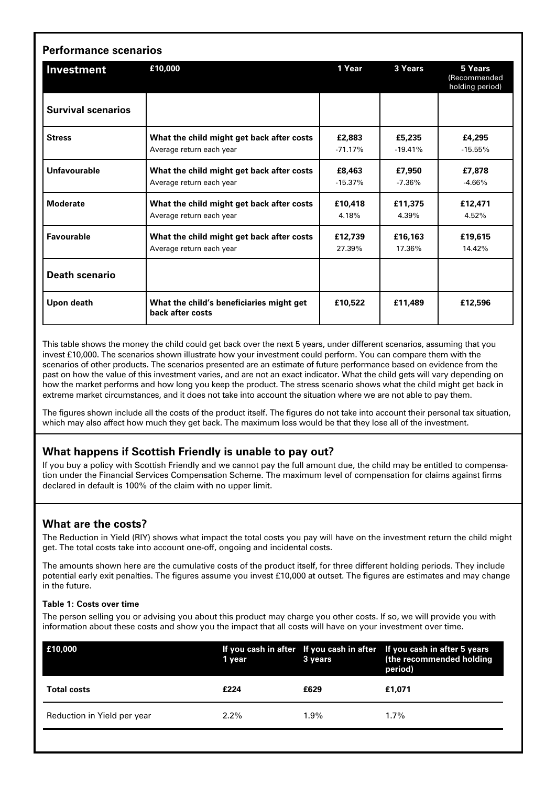| <b>Performance scenarios</b> |                                                                       |                     |                     |                                            |  |  |
|------------------------------|-----------------------------------------------------------------------|---------------------|---------------------|--------------------------------------------|--|--|
| Investment                   | £10,000                                                               | 1 Year              | 3 Years             | 5 Years<br>(Recommended<br>holding period) |  |  |
| <b>Survival scenarios</b>    |                                                                       |                     |                     |                                            |  |  |
| <b>Stress</b>                | What the child might get back after costs<br>Average return each year | £2,883<br>$-71.17%$ | £5,235<br>$-19.41%$ | £4,295<br>$-15.55%$                        |  |  |
| Unfavourable                 | What the child might get back after costs<br>Average return each year | £8,463<br>$-15.37%$ | £7,950<br>$-7.36%$  | £7,878<br>$-4.66%$                         |  |  |
| <b>Moderate</b>              | What the child might get back after costs<br>Average return each year | £10.418<br>4.18%    | £11.375<br>4.39%    | £12,471<br>4.52%                           |  |  |
| Favourable                   | What the child might get back after costs<br>Average return each year | £12,739<br>27.39%   | £16,163<br>17.36%   | £19.615<br>14.42%                          |  |  |
| <b>Death scenario</b>        |                                                                       |                     |                     |                                            |  |  |
| Upon death                   | What the child's beneficiaries might get<br>back after costs          | £10,522             | £11,489             | £12,596                                    |  |  |

This table shows the money the child could get back over the next 5 years, under different scenarios, assuming that you invest £10,000. The scenarios shown illustrate how your investment could perform. You can compare them with the scenarios of other products. The scenarios presented are an estimate of future performance based on evidence from the past on how the value of this investment varies, and are not an exact indicator. What the child gets will vary depending on how the market performs and how long you keep the product. The stress scenario shows what the child might get back in extreme market circumstances, and it does not take into account the situation where we are not able to pay them.

The figures shown include all the costs of the product itself. The figures do not take into account their personal tax situation, which may also affect how much they get back. The maximum loss would be that they lose all of the investment.

# **What happens if Scottish Friendly is unable to pay out?**

If you buy a policy with Scottish Friendly and we cannot pay the full amount due, the child may be entitled to compensation under the Financial Services Compensation Scheme. The maximum level of compensation for claims against firms declared in default is 100% of the claim with no upper limit.

# **What are the costs?**

The Reduction in Yield (RIY) shows what impact the total costs you pay will have on the investment return the child might get. The total costs take into account one-off, ongoing and incidental costs.

The amounts shown here are the cumulative costs of the product itself, for three different holding periods. They include potential early exit penalties. The figures assume you invest £10,000 at outset. The figures are estimates and may change in the future.

#### **Table 1: Costs over time**

The person selling you or advising you about this product may charge you other costs. If so, we will provide you with information about these costs and show you the impact that all costs will have on your investment over time.

| E10,000                     | 1 year  | 3 years | If you cash in after If you cash in after If you cash in after 5 years<br>(the recommended holding<br>period) |
|-----------------------------|---------|---------|---------------------------------------------------------------------------------------------------------------|
| <b>Total costs</b>          | £224    | £629    | £1.071                                                                                                        |
| Reduction in Yield per year | $2.2\%$ | $1.9\%$ | 1.7%                                                                                                          |